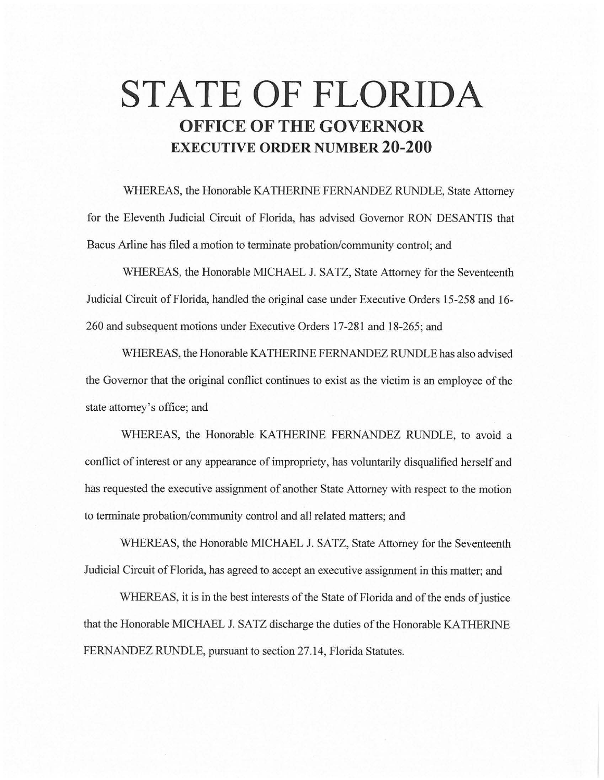# **STATE OF FLORIDA OFFICE OF THE GOVERNOR EXECUTIVE ORDER NUMBER 20-200**

WHEREAS, the Honorable KA THERINE FERNANDEZ RUNDLE, State Attorney for the Eleventh Judicial Circuit of Florida, has advised Governor RON DESANTIS that Bacus Arline has filed a motion to terminate probation/community control; and

WHEREAS, the Honorable MICHAEL J. SATZ, State Attorney for the Seventeenth Judicial Circuit of Florida, handled the original case under Executive Orders 15-258 and 16- 260 and subsequent motions under Executive Orders 17-281 and 18-265; and

WHEREAS, the Honorable KA THERINE FERNANDEZ RUNDLE has also advised the Governor that the original conflict continues to exist as the victim is an employee of the state attorney's office; and

WHEREAS, the Honorable KATHERINE FERNANDEZ RUNDLE, to avoid a conflict of interest or any appearance of impropriety, has voluntarily disqualified herself and has requested the executive assignment of another State Attorney with respect to the motion to terminate probation/community control and all related matters; and

WHEREAS, the Honorable MICHAEL J. SATZ, State Attorney for the Seventeenth Judicial Circuit of Florida, has agreed to accept an executive assignment in this matter; and

WHEREAS, it is in the best interests of the State of Florida and of the ends of justice that the Honorable MICHAEL J. SATZ discharge the duties of the Honorable KATHERINE FERNANDEZ RUNDLE, pursuant to section 27.14, Florida Statutes.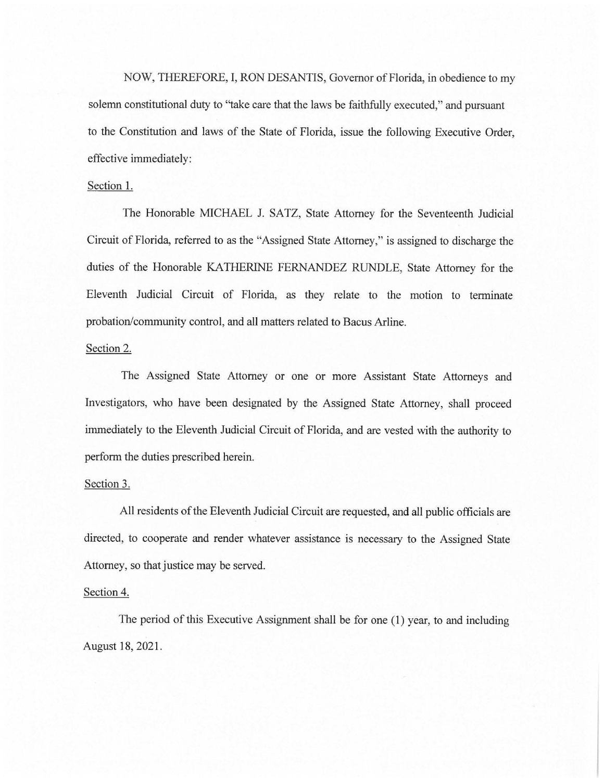NOW, THEREFORE, I, RON DESANTIS, Governor of Florida, in obedience to my solemn constitutional duty to "take care that the laws be faithfully executed," and pursuant to the Constitution and laws of the State of Florida, issue the following Executive Order, effective immediately:

## Section 1.

The Honorable MICHAEL J. SATZ, State Attorney for the Seventeenth Judicial Circuit of Florida, referred to as the "Assigned State Attorney," is assigned to discharge the duties of the Honorable KATHERINE FERNANDEZ RUNDLE, State Attorney for the Eleventh Judicial Circuit of Florida, as they relate to the motion to terminate probation/community control, and all matters related to Bacus Arline.

### Section 2.

The Assigned State Attorney or one or more Assistant State Attorneys and Investigators, who have been designated by the Assigned State Attorney, shall proceed immediately to the Eleventh Judicial Circuit of Florida, and are vested with the authority to perform the duties prescribed herein.

#### Section 3.

All residents of the Eleventh Judicial Circuit are requested, and all public officials are directed, to cooperate and render whatever assistance is necessary to the Assigned State Attorney, so that justice may be served.

#### Section 4.

The period of this Executive Assignment shall be for one (1) year, to and including August 18, 2021.